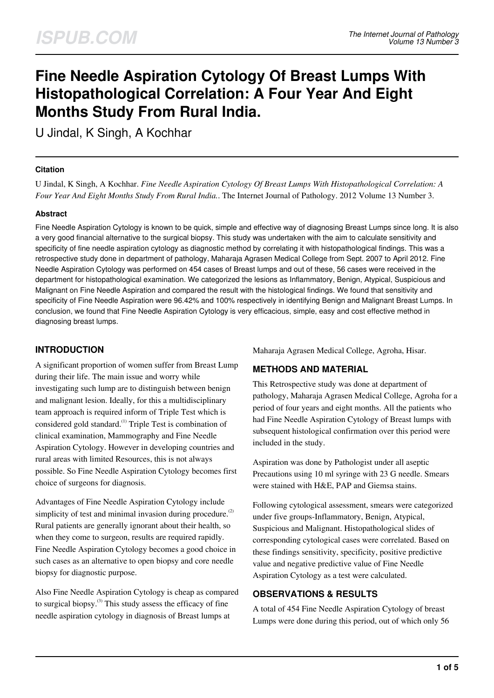# **Fine Needle Aspiration Cytology Of Breast Lumps With Histopathological Correlation: A Four Year And Eight Months Study From Rural India.**

U Jindal, K Singh, A Kochhar

### **Citation**

U Jindal, K Singh, A Kochhar. *Fine Needle Aspiration Cytology Of Breast Lumps With Histopathological Correlation: A Four Year And Eight Months Study From Rural India.*. The Internet Journal of Pathology. 2012 Volume 13 Number 3.

### **Abstract**

Fine Needle Aspiration Cytology is known to be quick, simple and effective way of diagnosing Breast Lumps since long. It is also a very good financial alternative to the surgical biopsy. This study was undertaken with the aim to calculate sensitivity and specificity of fine needle aspiration cytology as diagnostic method by correlating it with histopathological findings. This was a retrospective study done in department of pathology, Maharaja Agrasen Medical College from Sept. 2007 to April 2012. Fine Needle Aspiration Cytology was performed on 454 cases of Breast lumps and out of these, 56 cases were received in the department for histopathological examination. We categorized the lesions as Inflammatory, Benign, Atypical, Suspicious and Malignant on Fine Needle Aspiration and compared the result with the histological findings. We found that sensitivity and specificity of Fine Needle Aspiration were 96.42% and 100% respectively in identifying Benign and Malignant Breast Lumps. In conclusion, we found that Fine Needle Aspiration Cytology is very efficacious, simple, easy and cost effective method in diagnosing breast lumps.

# **INTRODUCTION**

A significant proportion of women suffer from Breast Lump during their life. The main issue and worry while investigating such lump are to distinguish between benign and malignant lesion. Ideally, for this a multidisciplinary team approach is required inform of Triple Test which is considered gold standard.<sup>(1)</sup> Triple Test is combination of clinical examination, Mammography and Fine Needle Aspiration Cytology. However in developing countries and rural areas with limited Resources, this is not always possible. So Fine Needle Aspiration Cytology becomes first choice of surgeons for diagnosis.

Advantages of Fine Needle Aspiration Cytology include simplicity of test and minimal invasion during procedure. $^{(2)}$ Rural patients are generally ignorant about their health, so when they come to surgeon, results are required rapidly. Fine Needle Aspiration Cytology becomes a good choice in such cases as an alternative to open biopsy and core needle biopsy for diagnostic purpose.

Also Fine Needle Aspiration Cytology is cheap as compared to surgical biopsy. $^{(3)}$  This study assess the efficacy of fine needle aspiration cytology in diagnosis of Breast lumps at

Maharaja Agrasen Medical College, Agroha, Hisar.

# **METHODS AND MATERIAL**

This Retrospective study was done at department of pathology, Maharaja Agrasen Medical College, Agroha for a period of four years and eight months. All the patients who had Fine Needle Aspiration Cytology of Breast lumps with subsequent histological confirmation over this period were included in the study.

Aspiration was done by Pathologist under all aseptic Precautions using 10 ml syringe with 23 G needle. Smears were stained with H&E, PAP and Giemsa stains.

Following cytological assessment, smears were categorized under five groups-Inflammatory, Benign, Atypical, Suspicious and Malignant. Histopathological slides of corresponding cytological cases were correlated. Based on these findings sensitivity, specificity, positive predictive value and negative predictive value of Fine Needle Aspiration Cytology as a test were calculated.

## **OBSERVATIONS & RESULTS**

A total of 454 Fine Needle Aspiration Cytology of breast Lumps were done during this period, out of which only 56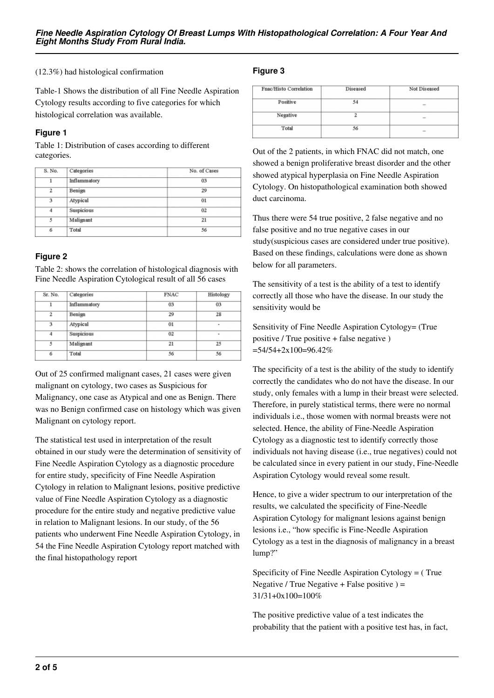(12.3%) had histological confirmation

Table-1 Shows the distribution of all Fine Needle Aspiration Cytology results according to five categories for which histological correlation was available.

#### **Figure 1**

Table 1: Distribution of cases according to different categories.

| S. No.         | Categories   | No. of Cases |  |  |
|----------------|--------------|--------------|--|--|
| 1              | Inflammatory | 03           |  |  |
| $\mathfrak{p}$ | Benign       | 29           |  |  |
| 3              | Atypical     | 01           |  |  |
| 4              | Suspicious   | 02           |  |  |
| 5              | Malignant    | 21           |  |  |
| 6              | Total        | 56           |  |  |

## **Figure 2**

Table 2: shows the correlation of histological diagnosis with Fine Needle Aspiration Cytological result of all 56 cases

| Sr. No.           | Categories | <b>FNAC</b> | Histology |  |
|-------------------|------------|-------------|-----------|--|
| Inflammatory<br>1 |            | 03          | 03        |  |
| $\mathfrak{p}$    | Benign     | 29          | 28        |  |
| 3                 | Atypical   | 01          | ٠<br>۰    |  |
| 4                 | Suspicious | 02          |           |  |
| Malignant<br>5    |            | 21          | 25        |  |
| 6<br>Total        |            | 56          | 56        |  |

Out of 25 confirmed malignant cases, 21 cases were given malignant on cytology, two cases as Suspicious for Malignancy, one case as Atypical and one as Benign. There was no Benign confirmed case on histology which was given Malignant on cytology report.

The statistical test used in interpretation of the result obtained in our study were the determination of sensitivity of Fine Needle Aspiration Cytology as a diagnostic procedure for entire study, specificity of Fine Needle Aspiration Cytology in relation to Malignant lesions, positive predictive value of Fine Needle Aspiration Cytology as a diagnostic procedure for the entire study and negative predictive value in relation to Malignant lesions. In our study, of the 56 patients who underwent Fine Needle Aspiration Cytology, in 54 the Fine Needle Aspiration Cytology report matched with the final histopathology report

# **Figure 3**

| Fnac/Histo Correlation | Diseased | Not Diseased |
|------------------------|----------|--------------|
| Positive               | 54       |              |
| Negative               |          |              |
| Total                  | 56       |              |

Out of the 2 patients, in which FNAC did not match, one showed a benign proliferative breast disorder and the other showed atypical hyperplasia on Fine Needle Aspiration Cytology. On histopathological examination both showed duct carcinoma.

Thus there were 54 true positive, 2 false negative and no false positive and no true negative cases in our study(suspicious cases are considered under true positive). Based on these findings, calculations were done as shown below for all parameters.

The sensitivity of a test is the ability of a test to identify correctly all those who have the disease. In our study the sensitivity would be

Sensitivity of Fine Needle Aspiration Cytology= (True positive / True positive + false negative )  $=54/54+2x100=96.42%$ 

The specificity of a test is the ability of the study to identify correctly the candidates who do not have the disease. In our study, only females with a lump in their breast were selected. Therefore, in purely statistical terms, there were no normal individuals i.e., those women with normal breasts were not selected. Hence, the ability of Fine-Needle Aspiration Cytology as a diagnostic test to identify correctly those individuals not having disease (i.e., true negatives) could not be calculated since in every patient in our study, Fine-Needle Aspiration Cytology would reveal some result.

Hence, to give a wider spectrum to our interpretation of the results, we calculated the specificity of Fine-Needle Aspiration Cytology for malignant lesions against benign lesions i.e., "how specific is Fine-Needle Aspiration Cytology as a test in the diagnosis of malignancy in a breast lump?"

Specificity of Fine Needle Aspiration Cytology = ( True Negative / True Negative + False positive  $) =$ 31/31+0x100=100%

The positive predictive value of a test indicates the probability that the patient with a positive test has, in fact,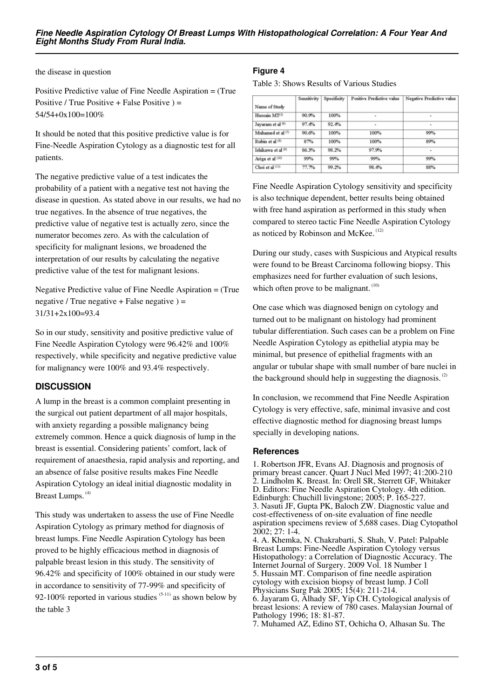the disease in question

Positive Predictive value of Fine Needle Aspiration = (True Positive / True Positive + False Positive  $) =$ 54/54+0x100=100%

It should be noted that this positive predictive value is for Fine-Needle Aspiration Cytology as a diagnostic test for all patients.

The negative predictive value of a test indicates the probability of a patient with a negative test not having the disease in question. As stated above in our results, we had no true negatives. In the absence of true negatives, the predictive value of negative test is actually zero, since the numerator becomes zero. As with the calculation of specificity for malignant lesions, we broadened the interpretation of our results by calculating the negative predictive value of the test for malignant lesions.

Negative Predictive value of Fine Needle Aspiration = (True negative / True negative + False negative  $) =$ 31/31+2x100=93.4

So in our study, sensitivity and positive predictive value of Fine Needle Aspiration Cytology were 96.42% and 100% respectively, while specificity and negative predictive value for malignancy were 100% and 93.4% respectively.

# **DISCUSSION**

A lump in the breast is a common complaint presenting in the surgical out patient department of all major hospitals, with anxiety regarding a possible malignancy being extremely common. Hence a quick diagnosis of lump in the breast is essential. Considering patients' comfort, lack of requirement of anaesthesia, rapid analysis and reporting, and an absence of false positive results makes Fine Needle Aspiration Cytology an ideal initial diagnostic modality in Breast Lumps.<sup>(4)</sup>

This study was undertaken to assess the use of Fine Needle Aspiration Cytology as primary method for diagnosis of breast lumps. Fine Needle Aspiration Cytology has been proved to be highly efficacious method in diagnosis of palpable breast lesion in this study. The sensitivity of 96.42% and specificity of 100% obtained in our study were in accordance to sensitivity of 77-99% and specificity of 92-100% reported in various studies  $(5-11)$  as shown below by the table 3

# **Figure 4**

Table 3: Shows Results of Various Studies

|                    | Sensitivity | Specificity | Positive Predictive value | Negative Predictive value |
|--------------------|-------------|-------------|---------------------------|---------------------------|
| Name of Study      |             |             |                           |                           |
| Hussain MT(5)      | 90.9%       | 100%        | ٠                         | ٠                         |
| Javaram et al (6)  | 97.4%       | 92.4%       | ٠                         | ۰                         |
| Muhamed et al (7)  | 90.6%       | 100%        | 100%                      | 99%                       |
| Rubin et al (8)    | 87%         | 100%        | 100%                      | 89%                       |
| Ishikawa et al (9) | 86.3%       | 98.2%       | 97.9%                     | ٠                         |
| Ariga et al (10)   | 99%         | 99%         | 99%                       | 99%                       |
| Choi et al (11)    | 77.7%       | 99.2%       | 98.4%                     | 88%                       |

Fine Needle Aspiration Cytology sensitivity and specificity is also technique dependent, better results being obtained with free hand aspiration as performed in this study when compared to stereo tactic Fine Needle Aspiration Cytology as noticed by Robinson and McKee.<sup>(12)</sup>

During our study, cases with Suspicious and Atypical results were found to be Breast Carcinoma following biopsy. This emphasizes need for further evaluation of such lesions, which often prove to be malignant.  $(10)$ 

One case which was diagnosed benign on cytology and turned out to be malignant on histology had prominent tubular differentiation. Such cases can be a problem on Fine Needle Aspiration Cytology as epithelial atypia may be minimal, but presence of epithelial fragments with an angular or tubular shape with small number of bare nuclei in the background should help in suggesting the diagnosis. $(2)$ 

In conclusion, we recommend that Fine Needle Aspiration Cytology is very effective, safe, minimal invasive and cost effective diagnostic method for diagnosing breast lumps specially in developing nations.

### **References**

1. Robertson JFR, Evans AJ. Diagnosis and prognosis of primary breast cancer. Quart J Nucl Med 1997; 41:200-210 2. Lindholm K. Breast. In: Orell SR, Sterrett GF, Whitaker D. Editors: Fine Needle Aspiration Cytology. 4th edition. Edinburgh: Chuchill livingstone; 2005; P. 165-227. 3. Nasuti JF, Gupta PK, Baloch ZW. Diagnostic value and cost-effectiveness of on-site evaluation of fine needle aspiration specimens review of 5,688 cases. Diag Cytopathol 2002; 27: 1-4.

4. A. Khemka, N. Chakrabarti, S. Shah, V. Patel: Palpable Breast Lumps: Fine-Needle Aspiration Cytology versus Histopathology: a Correlation of Diagnostic Accuracy. The Internet Journal of Surgery. 2009 Vol. 18 Number 1 5. Hussain MT. Comparison of fine needle aspiration cytology with excision biopsy of breast lump. J Coll Physicians Surg Pak 2005; 15(4): 211-214. 6. Jayaram G, Alhady SF, Yip CH. Cytological analysis of

breast lesions: A review of 780 cases. Malaysian Journal of Pathology 1996; 18: 81-87.

7. Muhamed AZ, Edino ST, Ochicha O, Alhasan Su. The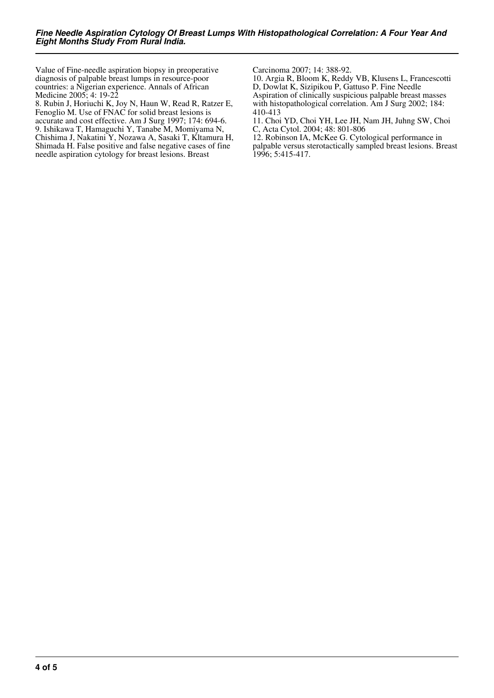Value of Fine-needle aspiration biopsy in preoperative diagnosis of palpable breast lumps in resource-poor countries: a Nigerian experience. Annals of African Medicine 2005; 4: 19-22

8. Rubin J, Horiuchi K, Joy N, Haun W, Read R, Ratzer E, Fenoglio M. Use of FNAC for solid breast lesions is accurate and cost effective. Am J Surg 1997; 174: 694-6. 9. Ishikawa T, Hamaguchi Y, Tanabe M, Momiyama N, Chishima J, Nakatini Y, Nozawa A, Sasaki T, Kltamura H, Shimada H. False positive and false negative cases of fine needle aspiration cytology for breast lesions. Breast

Carcinoma 2007; 14: 388-92.

10. Argia R, Bloom K, Reddy VB, Klusens L, Francescotti D, Dowlat K, Sizipikou P, Gattuso P. Fine Needle Aspiration of clinically suspicious palpable breast masses with histopathological correlation. Am J Surg 2002; 184: 410-413

11. Choi YD, Choi YH, Lee JH, Nam JH, Juhng SW, Choi C, Acta Cytol. 2004; 48: 801-806

12. Robinson IA, McKee G. Cytological performance in palpable versus sterotactically sampled breast lesions. Breast 1996; 5:415-417.